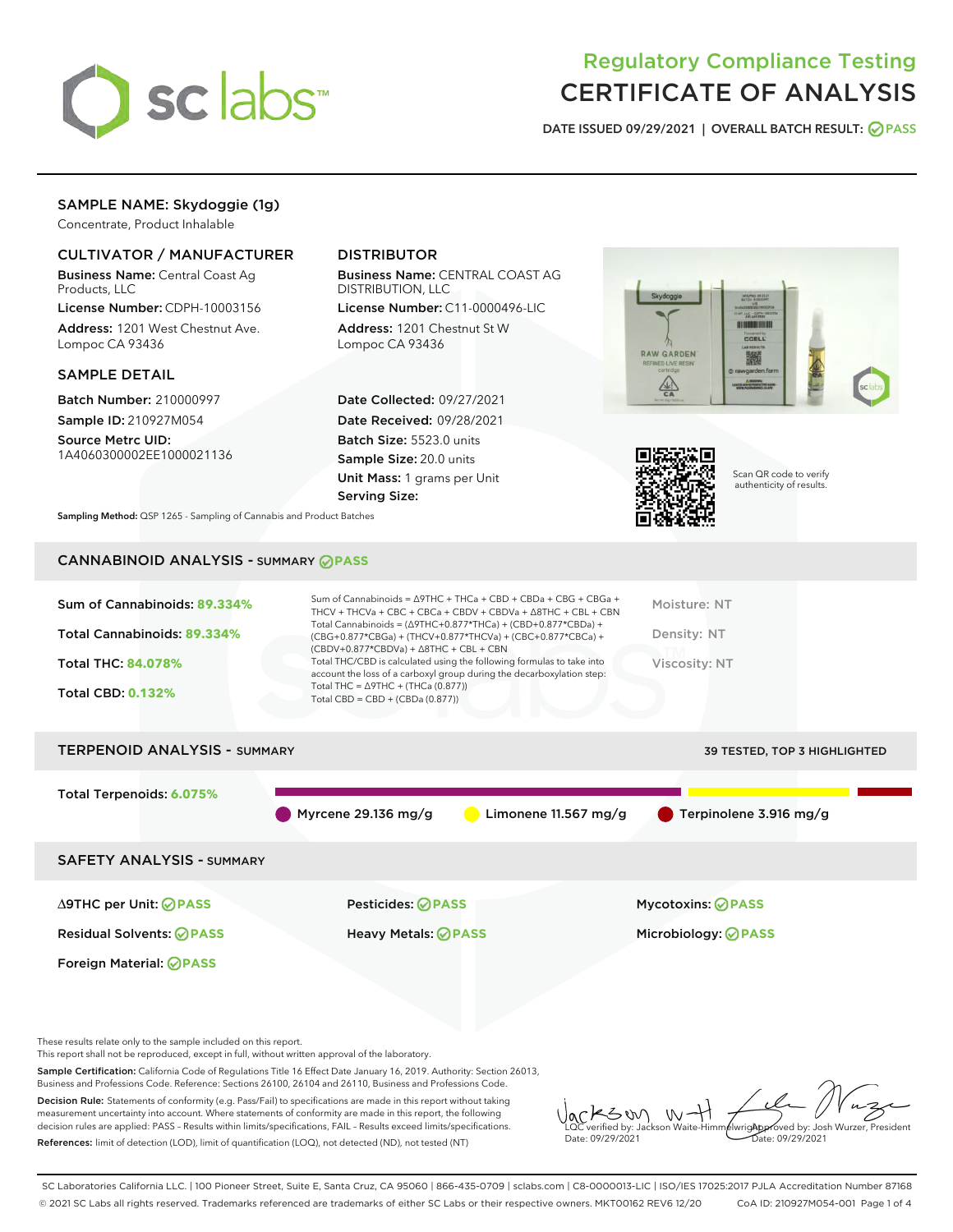

# Regulatory Compliance Testing CERTIFICATE OF ANALYSIS

DATE ISSUED 09/29/2021 | OVERALL BATCH RESULT: @ PASS

# SAMPLE NAME: Skydoggie (1g)

Concentrate, Product Inhalable

# CULTIVATOR / MANUFACTURER

Business Name: Central Coast Ag Products, LLC

License Number: CDPH-10003156 Address: 1201 West Chestnut Ave. Lompoc CA 93436

## SAMPLE DETAIL

Batch Number: 210000997 Sample ID: 210927M054

Source Metrc UID: 1A4060300002EE1000021136

# DISTRIBUTOR

Business Name: CENTRAL COAST AG DISTRIBUTION, LLC

License Number: C11-0000496-LIC Address: 1201 Chestnut St W Lompoc CA 93436

Date Collected: 09/27/2021 Date Received: 09/28/2021 Batch Size: 5523.0 units Sample Size: 20.0 units Unit Mass: 1 grams per Unit Serving Size:





Scan QR code to verify authenticity of results.

Sampling Method: QSP 1265 - Sampling of Cannabis and Product Batches

# CANNABINOID ANALYSIS - SUMMARY **PASS**

| Total Cannabinoids: 89.334%<br>Density: NT<br>(CBG+0.877*CBGa) + (THCV+0.877*THCVa) + (CBC+0.877*CBCa) +<br>$(CBDV+0.877*CBDVa) + \Delta 8THC + CBL + CBN$<br>Total THC/CBD is calculated using the following formulas to take into<br><b>Total THC: 84.078%</b><br>Viscosity: NT<br>account the loss of a carboxyl group during the decarboxylation step:<br>Total THC = $\triangle$ 9THC + (THCa (0.877))<br><b>Total CBD: 0.132%</b><br>Total CBD = $CBD + (CBDa (0.877))$ |  |
|-------------------------------------------------------------------------------------------------------------------------------------------------------------------------------------------------------------------------------------------------------------------------------------------------------------------------------------------------------------------------------------------------------------------------------------------------------------------------------|--|
|                                                                                                                                                                                                                                                                                                                                                                                                                                                                               |  |
| <b>TERPENOID ANALYSIS - SUMMARY</b><br><b>39 TESTED, TOP 3 HIGHLIGHTED</b>                                                                                                                                                                                                                                                                                                                                                                                                    |  |

Total Terpenoids: **6.075%** Myrcene 29.136 mg/g  $\qquad \qquad$  Limonene 11.567 mg/g  $\qquad \qquad$  Terpinolene 3.916 mg/g SAFETY ANALYSIS - SUMMARY

Foreign Material: **PASS**

∆9THC per Unit: **PASS** Pesticides: **PASS** Mycotoxins: **PASS**

Residual Solvents: **PASS** Heavy Metals: **PASS** Microbiology: **PASS**

These results relate only to the sample included on this report.

This report shall not be reproduced, except in full, without written approval of the laboratory.

Sample Certification: California Code of Regulations Title 16 Effect Date January 16, 2019. Authority: Section 26013, Business and Professions Code. Reference: Sections 26100, 26104 and 26110, Business and Professions Code.

Decision Rule: Statements of conformity (e.g. Pass/Fail) to specifications are made in this report without taking measurement uncertainty into account. Where statements of conformity are made in this report, the following decision rules are applied: PASS – Results within limits/specifications, FAIL – Results exceed limits/specifications. References: limit of detection (LOD), limit of quantification (LOQ), not detected (ND), not tested (NT)

 $4300$  $W$ Approved by: Josh Wurzer, President LQC verified by: Jackson Waite-Himmelwright Date: 09/29/2021 Pate: 09/29/2021

SC Laboratories California LLC. | 100 Pioneer Street, Suite E, Santa Cruz, CA 95060 | 866-435-0709 | sclabs.com | C8-0000013-LIC | ISO/IES 17025:2017 PJLA Accreditation Number 87168 © 2021 SC Labs all rights reserved. Trademarks referenced are trademarks of either SC Labs or their respective owners. MKT00162 REV6 12/20 CoA ID: 210927M054-001 Page 1 of 4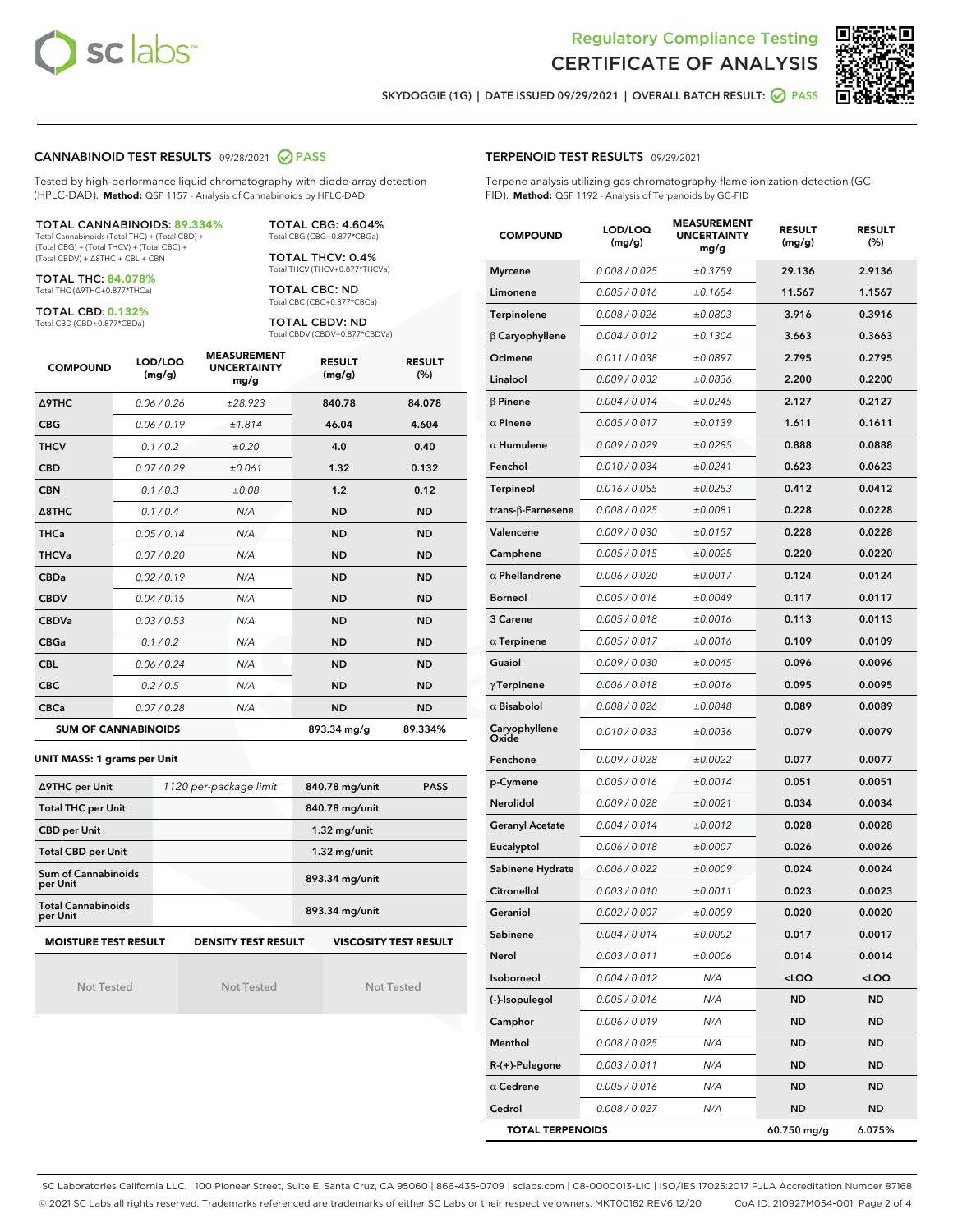



SKYDOGGIE (1G) | DATE ISSUED 09/29/2021 | OVERALL BATCH RESULT: @ PASS

#### CANNABINOID TEST RESULTS - 09/28/2021 2 PASS

Tested by high-performance liquid chromatography with diode-array detection (HPLC-DAD). **Method:** QSP 1157 - Analysis of Cannabinoids by HPLC-DAD

## TOTAL CANNABINOIDS: **89.334%**

Total Cannabinoids (Total THC) + (Total CBD) + (Total CBG) + (Total THCV) + (Total CBC) + (Total CBDV) + ∆8THC + CBL + CBN

TOTAL THC: **84.078%** Total THC (∆9THC+0.877\*THCa)

TOTAL CBD: **0.132%**

Total CBD (CBD+0.877\*CBDa)

TOTAL CBG: 4.604% Total CBG (CBG+0.877\*CBGa)

TOTAL THCV: 0.4% Total THCV (THCV+0.877\*THCVa)

TOTAL CBC: ND Total CBC (CBC+0.877\*CBCa)

TOTAL CBDV: ND Total CBDV (CBDV+0.877\*CBDVa)

| <b>COMPOUND</b>            | LOD/LOQ<br>(mg/g) | <b>MEASUREMENT</b><br><b>UNCERTAINTY</b><br>mg/g | <b>RESULT</b><br>(mg/g) | <b>RESULT</b><br>(%) |
|----------------------------|-------------------|--------------------------------------------------|-------------------------|----------------------|
| <b>A9THC</b>               | 0.06 / 0.26       | ±28.923                                          | 840.78                  | 84.078               |
| <b>CBG</b>                 | 0.06/0.19         | ±1.814                                           | 46.04                   | 4.604                |
| <b>THCV</b>                | 0.1/0.2           | ±0.20                                            | 4.0                     | 0.40                 |
| <b>CBD</b>                 | 0.07/0.29         | ±0.061                                           | 1.32                    | 0.132                |
| <b>CBN</b>                 | 0.1/0.3           | ±0.08                                            | 1.2                     | 0.12                 |
| $\triangle$ 8THC           | 0.1/0.4           | N/A                                              | <b>ND</b>               | <b>ND</b>            |
| <b>THCa</b>                | 0.05/0.14         | N/A                                              | <b>ND</b>               | <b>ND</b>            |
| <b>THCVa</b>               | 0.07/0.20         | N/A                                              | <b>ND</b>               | <b>ND</b>            |
| <b>CBDa</b>                | 0.02/0.19         | N/A                                              | <b>ND</b>               | <b>ND</b>            |
| <b>CBDV</b>                | 0.04 / 0.15       | N/A                                              | <b>ND</b>               | <b>ND</b>            |
| <b>CBDVa</b>               | 0.03/0.53         | N/A                                              | <b>ND</b>               | <b>ND</b>            |
| <b>CBGa</b>                | 0.1/0.2           | N/A                                              | <b>ND</b>               | <b>ND</b>            |
| <b>CBL</b>                 | 0.06 / 0.24       | N/A                                              | <b>ND</b>               | <b>ND</b>            |
| <b>CBC</b>                 | 0.2 / 0.5         | N/A                                              | <b>ND</b>               | <b>ND</b>            |
| <b>CBCa</b>                | 0.07/0.28         | N/A                                              | <b>ND</b>               | <b>ND</b>            |
| <b>SUM OF CANNABINOIDS</b> |                   |                                                  | 893.34 ma/a             | 89.334%              |

#### **UNIT MASS: 1 grams per Unit**

| ∆9THC per Unit                                                                            | 1120 per-package limit | 840.78 mg/unit<br><b>PASS</b> |  |  |
|-------------------------------------------------------------------------------------------|------------------------|-------------------------------|--|--|
| <b>Total THC per Unit</b>                                                                 |                        | 840.78 mg/unit                |  |  |
| <b>CBD per Unit</b>                                                                       |                        | $1.32$ mg/unit                |  |  |
| <b>Total CBD per Unit</b>                                                                 |                        | $1.32$ mg/unit                |  |  |
| Sum of Cannabinoids<br>per Unit                                                           |                        | 893.34 mg/unit                |  |  |
| <b>Total Cannabinoids</b><br>per Unit                                                     |                        | 893.34 mg/unit                |  |  |
| <b>MOISTURE TEST RESULT</b><br><b>DENSITY TEST RESULT</b><br><b>VISCOSITY TEST RESULT</b> |                        |                               |  |  |

Not Tested

| <b>Not Tested</b> |  |
|-------------------|--|

Not Tested

#### TERPENOID TEST RESULTS - 09/29/2021

Terpene analysis utilizing gas chromatography-flame ionization detection (GC-FID). **Method:** QSP 1192 - Analysis of Terpenoids by GC-FID

| <b>COMPOUND</b>           | LOD/LOQ<br>(mg/g) | <b>MEASUREMENT</b><br><b>UNCERTAINTY</b><br>mg/g | <b>RESULT</b><br>(mg/g)                         | <b>RESULT</b><br>(%) |
|---------------------------|-------------------|--------------------------------------------------|-------------------------------------------------|----------------------|
| <b>Myrcene</b>            | 0.008 / 0.025     | ±0.3759                                          | 29.136                                          | 2.9136               |
| Limonene                  | 0.005 / 0.016     | ±0.1654                                          | 11.567                                          | 1.1567               |
| Terpinolene               | 0.008 / 0.026     | ±0.0803                                          | 3.916                                           | 0.3916               |
| $\beta$ Caryophyllene     | 0.004 / 0.012     | ±0.1304                                          | 3.663                                           | 0.3663               |
| Ocimene                   | 0.011 / 0.038     | ±0.0897                                          | 2.795                                           | 0.2795               |
| Linalool                  | 0.009/0.032       | ±0.0836                                          | 2.200                                           | 0.2200               |
| $\beta$ Pinene            | 0.004 / 0.014     | ±0.0245                                          | 2.127                                           | 0.2127               |
| $\alpha$ Pinene           | 0.005 / 0.017     | ±0.0139                                          | 1.611                                           | 0.1611               |
| $\alpha$ Humulene         | 0.009 / 0.029     | ±0.0285                                          | 0.888                                           | 0.0888               |
| Fenchol                   | 0.010 / 0.034     | ±0.0241                                          | 0.623                                           | 0.0623               |
| <b>Terpineol</b>          | 0.016 / 0.055     | ±0.0253                                          | 0.412                                           | 0.0412               |
| trans- $\beta$ -Farnesene | 0.008 / 0.025     | ±0.0081                                          | 0.228                                           | 0.0228               |
| Valencene                 | 0.009 / 0.030     | ±0.0157                                          | 0.228                                           | 0.0228               |
| Camphene                  | 0.005 / 0.015     | ±0.0025                                          | 0.220                                           | 0.0220               |
| $\alpha$ Phellandrene     | 0.006 / 0.020     | ±0.0017                                          | 0.124                                           | 0.0124               |
| Borneol                   | 0.005 / 0.016     | ±0.0049                                          | 0.117                                           | 0.0117               |
| 3 Carene                  | 0.005 / 0.018     | ±0.0016                                          | 0.113                                           | 0.0113               |
| $\alpha$ Terpinene        | 0.005 / 0.017     | ±0.0016                                          | 0.109                                           | 0.0109               |
| Guaiol                    | 0.009 / 0.030     | ±0.0045                                          | 0.096                                           | 0.0096               |
| $\gamma$ Terpinene        | 0.006 / 0.018     | ±0.0016                                          | 0.095                                           | 0.0095               |
| $\alpha$ Bisabolol        | 0.008 / 0.026     | ±0.0048                                          | 0.089                                           | 0.0089               |
| Caryophyllene<br>Oxide    | 0.010 / 0.033     | ±0.0036                                          | 0.079                                           | 0.0079               |
| Fenchone                  | 0.009 / 0.028     | ±0.0022                                          | 0.077                                           | 0.0077               |
| p-Cymene                  | 0.005 / 0.016     | ±0.0014                                          | 0.051                                           | 0.0051               |
| Nerolidol                 | 0.009 / 0.028     | ±0.0021                                          | 0.034                                           | 0.0034               |
| <b>Geranyl Acetate</b>    | 0.004 / 0.014     | ±0.0012                                          | 0.028                                           | 0.0028               |
| Eucalyptol                | 0.006 / 0.018     | ±0.0007                                          | 0.026                                           | 0.0026               |
| Sabinene Hydrate          | 0.006 / 0.022     | ±0.0009                                          | 0.024                                           | 0.0024               |
| Citronellol               | 0.003 / 0.010     | ±0.0011                                          | 0.023                                           | 0.0023               |
| Geraniol                  | 0.002 / 0.007     | ±0.0009                                          | 0.020                                           | 0.0020               |
| Sabinene                  | 0.004 / 0.014     | ±0.0002                                          | 0.017                                           | 0.0017               |
| Nerol                     | 0.003 / 0.011     | ±0.0006                                          | 0.014                                           | 0.0014               |
| Isoborneol                | 0.004 / 0.012     | N/A                                              | <loq< th=""><th><loq< th=""></loq<></th></loq<> | <loq< th=""></loq<>  |
| (-)-Isopulegol            | 0.005 / 0.016     | N/A                                              | ND                                              | ND                   |
| Camphor                   | 0.006 / 0.019     | N/A                                              | ND                                              | ND                   |
| Menthol                   | 0.008 / 0.025     | N/A                                              | ND                                              | ND                   |
| $R-(+)$ -Pulegone         | 0.003 / 0.011     | N/A                                              | ND                                              | ND                   |
| $\alpha$ Cedrene          | 0.005 / 0.016     | N/A                                              | ND                                              | ND                   |
| Cedrol                    | 0.008 / 0.027     | N/A                                              | ND                                              | ND                   |
| <b>TOTAL TERPENOIDS</b>   |                   |                                                  | 60.750 mg/g                                     | 6.075%               |

SC Laboratories California LLC. | 100 Pioneer Street, Suite E, Santa Cruz, CA 95060 | 866-435-0709 | sclabs.com | C8-0000013-LIC | ISO/IES 17025:2017 PJLA Accreditation Number 87168 © 2021 SC Labs all rights reserved. Trademarks referenced are trademarks of either SC Labs or their respective owners. MKT00162 REV6 12/20 CoA ID: 210927M054-001 Page 2 of 4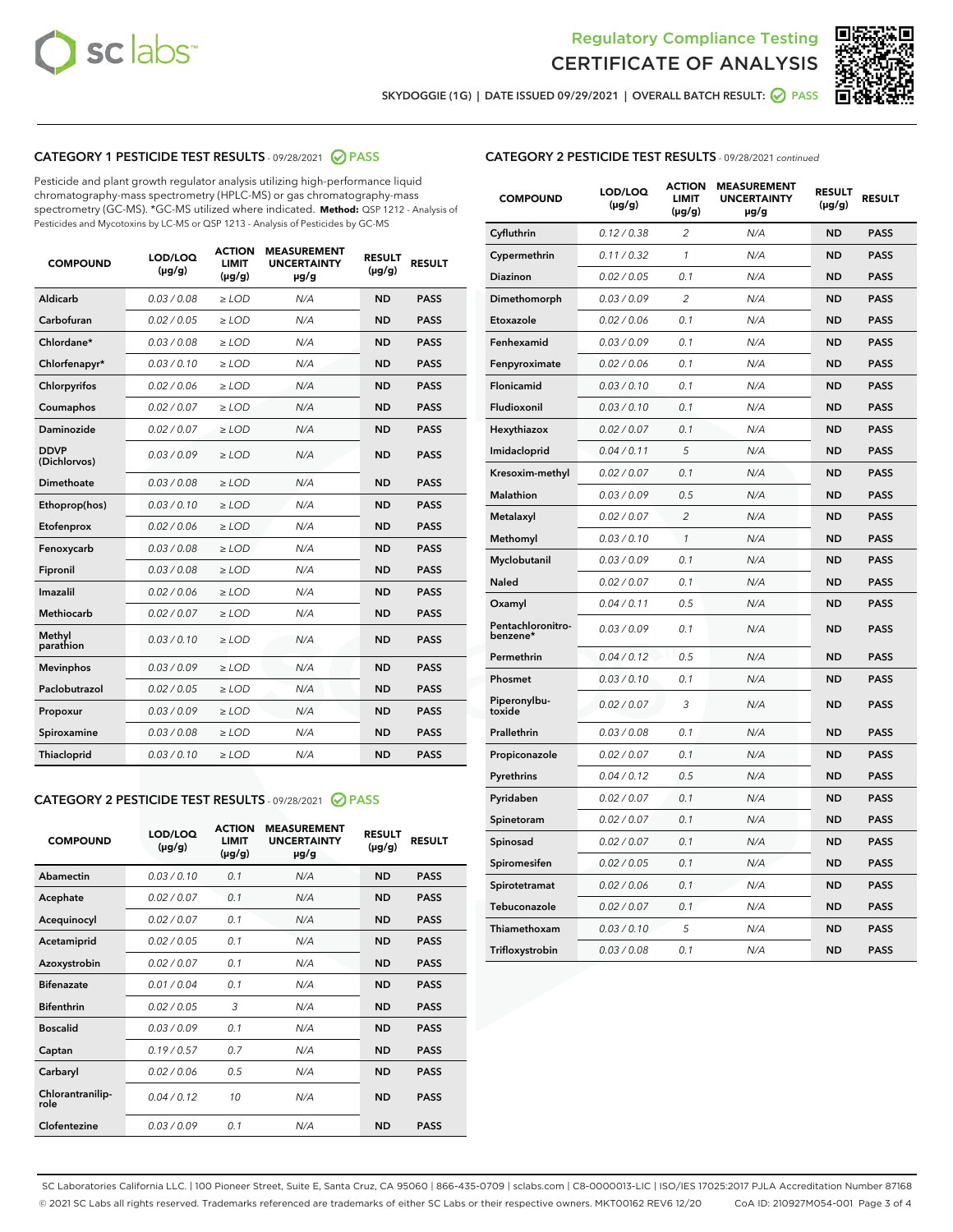



SKYDOGGIE (1G) | DATE ISSUED 09/29/2021 | OVERALL BATCH RESULT: O PASS

# CATEGORY 1 PESTICIDE TEST RESULTS - 09/28/2021 2 PASS

Pesticide and plant growth regulator analysis utilizing high-performance liquid chromatography-mass spectrometry (HPLC-MS) or gas chromatography-mass spectrometry (GC-MS). \*GC-MS utilized where indicated. **Method:** QSP 1212 - Analysis of Pesticides and Mycotoxins by LC-MS or QSP 1213 - Analysis of Pesticides by GC-MS

| <b>COMPOUND</b>             | LOD/LOQ<br>$(\mu g/g)$ | <b>ACTION</b><br><b>LIMIT</b><br>$(\mu g/g)$ | <b>MEASUREMENT</b><br><b>UNCERTAINTY</b><br>µg/g | <b>RESULT</b><br>$(\mu g/g)$ | <b>RESULT</b> |
|-----------------------------|------------------------|----------------------------------------------|--------------------------------------------------|------------------------------|---------------|
| Aldicarb                    | 0.03/0.08              | $>$ LOD                                      | N/A                                              | <b>ND</b>                    | <b>PASS</b>   |
| Carbofuran                  | 0.02 / 0.05            | $\ge$ LOD                                    | N/A                                              | <b>ND</b>                    | <b>PASS</b>   |
| Chlordane*                  | 0.03/0.08              | $>$ LOD                                      | N/A                                              | <b>ND</b>                    | <b>PASS</b>   |
| Chlorfenapyr*               | 0.03 / 0.10            | $\ge$ LOD                                    | N/A                                              | <b>ND</b>                    | <b>PASS</b>   |
| Chlorpyrifos                | 0.02 / 0.06            | $\ge$ LOD                                    | N/A                                              | <b>ND</b>                    | <b>PASS</b>   |
| Coumaphos                   | 0.02 / 0.07            | $\ge$ LOD                                    | N/A                                              | <b>ND</b>                    | <b>PASS</b>   |
| Daminozide                  | 0.02 / 0.07            | $\ge$ LOD                                    | N/A                                              | <b>ND</b>                    | <b>PASS</b>   |
| <b>DDVP</b><br>(Dichlorvos) | 0.03/0.09              | $\ge$ LOD                                    | N/A                                              | <b>ND</b>                    | <b>PASS</b>   |
| <b>Dimethoate</b>           | 0.03/0.08              | $\ge$ LOD                                    | N/A                                              | <b>ND</b>                    | <b>PASS</b>   |
| Ethoprop(hos)               | 0.03/0.10              | $\ge$ LOD                                    | N/A                                              | <b>ND</b>                    | <b>PASS</b>   |
| Etofenprox                  | 0.02 / 0.06            | $\ge$ LOD                                    | N/A                                              | <b>ND</b>                    | <b>PASS</b>   |
| Fenoxycarb                  | 0.03 / 0.08            | $\ge$ LOD                                    | N/A                                              | <b>ND</b>                    | <b>PASS</b>   |
| Fipronil                    | 0.03/0.08              | $>$ LOD                                      | N/A                                              | <b>ND</b>                    | <b>PASS</b>   |
| Imazalil                    | 0.02 / 0.06            | $\ge$ LOD                                    | N/A                                              | <b>ND</b>                    | <b>PASS</b>   |
| Methiocarb                  | 0.02 / 0.07            | $\ge$ LOD                                    | N/A                                              | <b>ND</b>                    | <b>PASS</b>   |
| Methyl<br>parathion         | 0.03/0.10              | $\ge$ LOD                                    | N/A                                              | <b>ND</b>                    | <b>PASS</b>   |
| <b>Mevinphos</b>            | 0.03/0.09              | $\ge$ LOD                                    | N/A                                              | <b>ND</b>                    | <b>PASS</b>   |
| Paclobutrazol               | 0.02 / 0.05            | $>$ LOD                                      | N/A                                              | <b>ND</b>                    | <b>PASS</b>   |
| Propoxur                    | 0.03/0.09              | $\ge$ LOD                                    | N/A                                              | <b>ND</b>                    | <b>PASS</b>   |
| Spiroxamine                 | 0.03 / 0.08            | $\ge$ LOD                                    | N/A                                              | <b>ND</b>                    | <b>PASS</b>   |
| Thiacloprid                 | 0.03/0.10              | $\ge$ LOD                                    | N/A                                              | <b>ND</b>                    | <b>PASS</b>   |

## CATEGORY 2 PESTICIDE TEST RESULTS - 09/28/2021 @ PASS

| <b>COMPOUND</b>          | LOD/LOO<br>$(\mu g/g)$ | <b>ACTION</b><br>LIMIT<br>$(\mu g/g)$ | <b>MEASUREMENT</b><br><b>UNCERTAINTY</b><br>$\mu$ g/g | <b>RESULT</b><br>$(\mu g/g)$ | <b>RESULT</b> |
|--------------------------|------------------------|---------------------------------------|-------------------------------------------------------|------------------------------|---------------|
| Abamectin                | 0.03/0.10              | 0.1                                   | N/A                                                   | <b>ND</b>                    | <b>PASS</b>   |
| Acephate                 | 0.02/0.07              | 0.1                                   | N/A                                                   | <b>ND</b>                    | <b>PASS</b>   |
| Acequinocyl              | 0.02/0.07              | 0.1                                   | N/A                                                   | <b>ND</b>                    | <b>PASS</b>   |
| Acetamiprid              | 0.02/0.05              | 0.1                                   | N/A                                                   | <b>ND</b>                    | <b>PASS</b>   |
| Azoxystrobin             | 0.02/0.07              | 0.1                                   | N/A                                                   | <b>ND</b>                    | <b>PASS</b>   |
| <b>Bifenazate</b>        | 0.01/0.04              | 0.1                                   | N/A                                                   | <b>ND</b>                    | <b>PASS</b>   |
| <b>Bifenthrin</b>        | 0.02 / 0.05            | 3                                     | N/A                                                   | <b>ND</b>                    | <b>PASS</b>   |
| <b>Boscalid</b>          | 0.03/0.09              | 0.1                                   | N/A                                                   | <b>ND</b>                    | <b>PASS</b>   |
| Captan                   | 0.19/0.57              | 0.7                                   | N/A                                                   | <b>ND</b>                    | <b>PASS</b>   |
| Carbaryl                 | 0.02/0.06              | 0.5                                   | N/A                                                   | <b>ND</b>                    | <b>PASS</b>   |
| Chlorantranilip-<br>role | 0.04/0.12              | 10                                    | N/A                                                   | <b>ND</b>                    | <b>PASS</b>   |
| Clofentezine             | 0.03/0.09              | 0.1                                   | N/A                                                   | <b>ND</b>                    | <b>PASS</b>   |

# CATEGORY 2 PESTICIDE TEST RESULTS - 09/28/2021 continued

| <b>COMPOUND</b>               | LOD/LOQ<br>(µg/g) | <b>ACTION</b><br>LIMIT<br>$(\mu g/g)$ | <b>MEASUREMENT</b><br><b>UNCERTAINTY</b><br>µg/g | <b>RESULT</b><br>(µg/g) | <b>RESULT</b> |
|-------------------------------|-------------------|---------------------------------------|--------------------------------------------------|-------------------------|---------------|
| Cyfluthrin                    | 0.12 / 0.38       | $\overline{c}$                        | N/A                                              | ND                      | <b>PASS</b>   |
| Cypermethrin                  | 0.11 / 0.32       | $\mathcal{I}$                         | N/A                                              | ND                      | <b>PASS</b>   |
| <b>Diazinon</b>               | 0.02 / 0.05       | 0.1                                   | N/A                                              | <b>ND</b>               | <b>PASS</b>   |
| Dimethomorph                  | 0.03 / 0.09       | 2                                     | N/A                                              | ND                      | <b>PASS</b>   |
| Etoxazole                     | 0.02 / 0.06       | 0.1                                   | N/A                                              | ND                      | <b>PASS</b>   |
| Fenhexamid                    | 0.03 / 0.09       | 0.1                                   | N/A                                              | ND                      | <b>PASS</b>   |
| Fenpyroximate                 | 0.02 / 0.06       | 0.1                                   | N/A                                              | <b>ND</b>               | <b>PASS</b>   |
| Flonicamid                    | 0.03 / 0.10       | 0.1                                   | N/A                                              | ND                      | <b>PASS</b>   |
| Fludioxonil                   | 0.03 / 0.10       | 0.1                                   | N/A                                              | ND                      | <b>PASS</b>   |
| Hexythiazox                   | 0.02 / 0.07       | 0.1                                   | N/A                                              | ND                      | <b>PASS</b>   |
| Imidacloprid                  | 0.04 / 0.11       | 5                                     | N/A                                              | ND                      | <b>PASS</b>   |
| Kresoxim-methyl               | 0.02 / 0.07       | 0.1                                   | N/A                                              | ND                      | <b>PASS</b>   |
| Malathion                     | 0.03 / 0.09       | 0.5                                   | N/A                                              | ND                      | <b>PASS</b>   |
| Metalaxyl                     | 0.02 / 0.07       | $\overline{c}$                        | N/A                                              | ND                      | <b>PASS</b>   |
| Methomyl                      | 0.03 / 0.10       | $\mathbf{1}$                          | N/A                                              | ND                      | <b>PASS</b>   |
| Myclobutanil                  | 0.03 / 0.09       | 0.1                                   | N/A                                              | <b>ND</b>               | <b>PASS</b>   |
| Naled                         | 0.02 / 0.07       | 0.1                                   | N/A                                              | ND                      | <b>PASS</b>   |
| Oxamyl                        | 0.04 / 0.11       | 0.5                                   | N/A                                              | ND                      | PASS          |
| Pentachloronitro-<br>benzene* | 0.03 / 0.09       | 0.1                                   | N/A                                              | ND                      | <b>PASS</b>   |
| Permethrin                    | 0.04 / 0.12       | 0.5                                   | N/A                                              | ND                      | <b>PASS</b>   |
| Phosmet                       | 0.03 / 0.10       | 0.1                                   | N/A                                              | ND                      | <b>PASS</b>   |
| Piperonylbu-<br>toxide        | 0.02 / 0.07       | 3                                     | N/A                                              | <b>ND</b>               | <b>PASS</b>   |
| Prallethrin                   | 0.03 / 0.08       | 0.1                                   | N/A                                              | ND                      | <b>PASS</b>   |
| Propiconazole                 | 0.02 / 0.07       | 0.1                                   | N/A                                              | <b>ND</b>               | <b>PASS</b>   |
| Pyrethrins                    | 0.04 / 0.12       | 0.5                                   | N/A                                              | ND                      | <b>PASS</b>   |
| Pyridaben                     | 0.02 / 0.07       | 0.1                                   | N/A                                              | <b>ND</b>               | <b>PASS</b>   |
| Spinetoram                    | 0.02 / 0.07       | 0.1                                   | N/A                                              | ND                      | <b>PASS</b>   |
| Spinosad                      | 0.02 / 0.07       | 0.1                                   | N/A                                              | ND                      | <b>PASS</b>   |
| Spiromesifen                  | 0.02 / 0.05       | 0.1                                   | N/A                                              | <b>ND</b>               | <b>PASS</b>   |
| Spirotetramat                 | 0.02 / 0.06       | 0.1                                   | N/A                                              | ND                      | <b>PASS</b>   |
| Tebuconazole                  | 0.02 / 0.07       | 0.1                                   | N/A                                              | ND                      | <b>PASS</b>   |
| Thiamethoxam                  | 0.03 / 0.10       | 5                                     | N/A                                              | <b>ND</b>               | <b>PASS</b>   |
| Trifloxystrobin               | 0.03 / 0.08       | 0.1                                   | N/A                                              | <b>ND</b>               | <b>PASS</b>   |

SC Laboratories California LLC. | 100 Pioneer Street, Suite E, Santa Cruz, CA 95060 | 866-435-0709 | sclabs.com | C8-0000013-LIC | ISO/IES 17025:2017 PJLA Accreditation Number 87168 © 2021 SC Labs all rights reserved. Trademarks referenced are trademarks of either SC Labs or their respective owners. MKT00162 REV6 12/20 CoA ID: 210927M054-001 Page 3 of 4